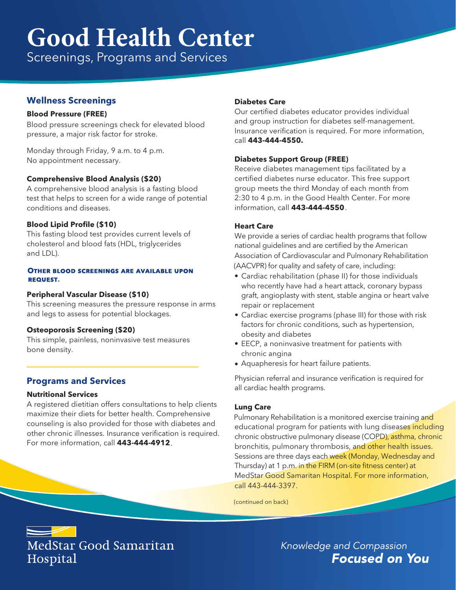# **Good Health Center**

Screenings, Programs and Services

# **Wellness Screenings**

### **Blood Pressure (FREE)**

Blood pressure screenings check for elevated blood pressure, a major risk factor for stroke.

Monday through Friday, 9 a.m. to 4 p.m. No appointment necessary.

# **Comprehensive Blood Analysis (\$20)**

A comprehensive blood analysis is a fasting blood test that helps to screen for a wide range of potential conditions and diseases.

# **Blood Lipid Profile (\$10)**

This fasting blood test provides current levels of cholesterol and blood fats (HDL, triglycerides and LDL).

#### **OTHER BLOOD SCREENINGS ARE AVAILABLE UPON REQUEST.**

### **Peripheral Vascular Disease (\$10)**

This screening measures the pressure response in arms and legs to assess for potential blockages.

# **Osteoporosis Screening (\$20)**

This simple, painless, noninvasive test measures bone density.

# **Programs and Services**

### **Nutritional Services**

A registered dietitian offers consultations to help clients maximize their diets for better health. Comprehensive counseling is also provided for those with diabetes and other chronic illnesses. Insurance verification is required. For more information, call **443-444-4912**.

### **Diabetes Care**

Our certified diabetes educator provides individual and group instruction for diabetes self-management. Insurance verification is required. For more information, call **443-444-4550.**

### **Diabetes Support Group (FREE)**

. information, call **443-444-4550** Receive diabetes management tips facilitated by a certified diabetes nurse educator. This free support group meets the third Monday of each month from 2:30 to 4 p.m. in the Good Health Center. For more

### **Heart Care**

We provide a series of cardiac health programs that follow national guidelines and are certified by the American Association of Cardiovascular and Pulmonary Rehabilitation (AACVPR) for quality and safety of care, including:

- Cardiac rehabilitation (phase II) for those individuals who recently have had a heart attack, coronary bypass graft, angioplasty with stent, stable angina or heart valve repair or replacement
- factors for chronic conditions, such as hypertension, • Cardiac exercise programs (phase III) for those with risk obesity and diabetes
- EECP, a noninvasive treatment for patients with chronic angina
- Aquapheresis for heart failure patients.

Physician referral and insurance verification is required for all cardiac health programs.

### **Lung Care**

Pulmonary Rehabilitation is a monitored exercise training and educational program for patients with lung diseases including chronic obstructive pulmonary disease (COPD), asthma, chronic bronchitis, pulmonary thrombosis, and other health issues. Sessions are three days each week (Monday, Wednesday and Thursday) at 1 p.m. in the FIRM (on-site fitness center) at MedStar Good Samaritan Hospital. For more information, call 443-444-3397.

(continued on back)



Knowledge and Compassion **Focused on You**